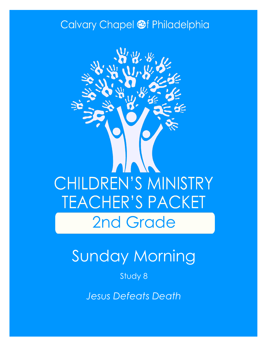### Calvary Chapel @f Philadelphia



# Sunday Morning

Study 8

*Jesus Defeats Death*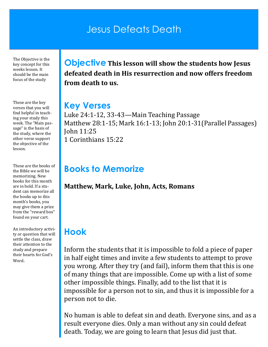### Jesus Defeats Death

The Objective is the key concept for this weeks lesson. It should be the main focus of the study

These are the key verses that you will find helpful in teaching your study this week. The "Main passage" is the basis of the study, where the other verse support the objective of the lesson.

These are the books of the Bible we will be memorizing. New books for this month are in bold. If a student can memorize all the books up to this month's books, you may give them a prize from the "reward box" found on your cart.

An introductory activity or question that will settle the class, draw their attention to the study and prepare their hearts for God's Word.

**Objective This lesson will show the students how Jesus defeated death in His resurrection and now offers freedom from death to us.**

#### **Key Verses**

Luke 24:1-12, 33-43—Main Teaching Passage Matthew 28:1-15; Mark 16:1-13; John 20:1-31(Parallel Passages) John 11:25 1 Corinthians 15:22

#### **Books to Memorize**

**Matthew, Mark, Luke, John, Acts, Romans**

#### **Hook**

Inform the students that it is impossible to fold a piece of paper in half eight times and invite a few students to attempt to prove you wrong. After they try (and fail), inform them that this is one of many things that are impossible. Come up with a list of some other impossible things. Finally, add to the list that it is impossible for a person not to sin, and thus it is impossible for a person not to die.

No human is able to defeat sin and death. Everyone sins, and as a result everyone dies. Only a man without any sin could defeat death. Today, we are going to learn that Jesus did just that.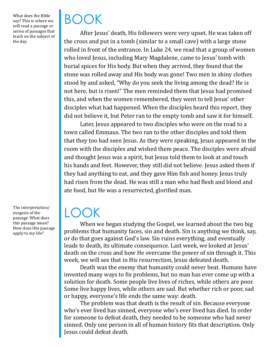What does the Bible say? This is where we will read a passage or series of passages that teach on the subject of the day.

## BOOK

After Jesus' death, His followers were very upset. He was taken off the cross and put in a tomb (similar to a small cave) with a large stone rolled in front of the entrance. In Luke 24, we read that a group of women who loved Jesus, including Mary Magdalene, came to Jesus' tomb with burial spices for His body. But when they arrived, they found that the stone was rolled away and His body was gone! Two men in shiny clothes stood by and asked, "Why do you seek the living among the dead? He is not here, but is risen!" The men reminded them that Jesus had promised this, and when the women remembered, they went to tell Jesus' other disciples what had happened. When the disciples heard this report, they did not believe it, but Peter ran to the empty tomb and saw it for himself.

Later, Jesus appeared to two disciples who were on the road to a town called Emmaus. The two ran to the other disciples and told them that they too had seen Jesus. As they were speaking, Jesus appeared in the room with the disciples and wished them peace. The disciples were afraid and thought Jesus was a spirit, but Jesus told them to look at and touch his hands and feet. However, they still did not believe. Jesus asked them if they had anything to eat, and they gave Him fish and honey. Jesus truly had risen from the dead. He was still a man who had flesh and blood and ate food, but He was a resurrected, glorified man.

### LOOK

When we began studying the Gospel, we learned about the two big problems that humanity faces, sin and death. Sin is anything we think, say, or do that goes against God's law. Sin ruins everything, and eventually leads to death, its ultimate consequence. Last week, we looked at Jesus' death on the cross and how He overcame the power of sin through it. This week, we will see that in His resurrection, Jesus defeated death.

Death was the enemy that humanity could never beat. Humans have invented many ways to fix problems, but no man has ever come up with a solution for death. Some people live lives of riches, while others are poor. Some live happy lives, while others are sad. But whether rich or poor, sad or happy, everyone's life ends the same way: death.

The problem was that death is the result of sin. Because everyone who's ever lived has sinned, everyone who's ever lived has died. In order for someone to defeat death, they needed to be someone who had never sinned. Only one person in all of human history fits that description. Only Jesus could defeat death.

The interpretation/ exegesis of the passage. What does this passage mean? How does this passage apply to my life?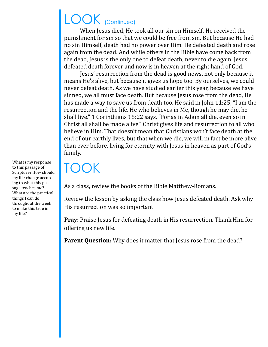### LOOK (Continued)

When Jesus died, He took all our sin on Himself. He received the punishment for sin so that we could be free from sin. But because He had no sin Himself, death had no power over Him. He defeated death and rose again from the dead. And while others in the Bible have come back from the dead, Jesus is the only one to defeat death, never to die again. Jesus defeated death forever and now is in heaven at the right hand of God.

Jesus' resurrection from the dead is good news, not only because it means He's alive, but because it gives us hope too. By ourselves, we could never defeat death. As we have studied earlier this year, because we have sinned, we all must face death. But because Jesus rose from the dead, He has made a way to save us from death too. He said in John 11:25, "I am the resurrection and the life. He who believes in Me, though he may die, he shall live." 1 Corinthians 15:22 says, "For as in Adam all die, even so in Christ all shall be made alive." Christ gives life and resurrection to all who believe in Him. That doesn't mean that Christians won't face death at the end of our earthly lives, but that when we die, we will in fact be more alive than ever before, living for eternity with Jesus in heaven as part of God's family.

### TOOK

As a class, review the books of the Bible Matthew-Romans.

Review the lesson by asking the class how Jesus defeated death. Ask why His resurrection was so important.

**Pray:** Praise Jesus for defeating death in His resurrection. Thank Him for offering us new life.

Parent Question: Why does it matter that Jesus rose from the dead?

What is my response to this passage of Scripture? How should my life change according to what this passage teaches me? What are the practical things I can do throughout the week to make this true in my life?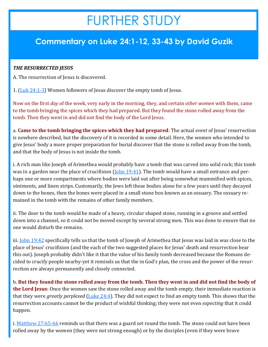### FURTHER STUDY

#### **Commentary on Luke 24:1-12, 33-43 by David Guzik**

#### *THE RESURRECTED JESUS*

A. The resurrection of Jesus is discovered.

1. [\(Luk 24:1](https://www.blueletterbible.org/kjv/luke/24/1-3/s_997001)-3) Women followers of Jesus discover the empty tomb of Jesus.

Now on the first *day* of the week, very early in the morning, they, and certain *other women* with them, came to the tomb bringing the spices which they had prepared. But they found the stone rolled away from the tomb. Then they went in and did not find the body of the Lord Jesus.

a. **Came to the tomb bringing the spices which they had prepared**: The actual *event* of Jesus' resurrection is nowhere described, but the discovery of it is recorded in some detail. Here, the women who intended to give Jesus' body a more proper preparation for burial discover that the stone is rolled away from the tomb, and that the body of Jesus is not inside the tomb.

i. A rich man like Joseph of Arimethea would probably have a tomb that was carved into solid rock; this tomb was in a garden near the place of crucifixion ( $\lceil \text{ohn 19:41} \rceil$ . The tomb would have a small entrance and perhaps one or more compartments where bodies were laid out after being somewhat mummified with spices, ointments, and linen strips. Customarily, the Jews left these bodies alone for a few years until they decayed down to the bones, then the bones were placed in a small stone box known as an ossuary. The ossuary remained in the tomb with the remains of other family members.

ii. The door to the tomb would be made of a heavy, circular shaped stone, running in a groove and settled down into a channel, so it could not be moved except by several strong men. This was done to ensure that no one would disturb the remains.

iii. [John 19:42](https://www.blueletterbible.org/kjv/john/19/42/s_1016042) specifically tells us that the tomb of Joseph of Arimethea that Jesus was laid in was close to the place of Jesus' crucifixion (and the each of the two suggested places for Jesus' death and resurrection bear this out). Joseph probably didn't like it that the value of his family tomb decreased because the Romans decided to crucify people nearby-yet it reminds us that the in God's plan, the cross and the power of the resurrection are always permanently and closely connected.

b. **But they found the stone rolled away from the tomb. Then they went in and did not find the body of the Lord Jesus**: Once the women saw the stone rolled away and the tomb empty, their immediate reaction is that they were *greatly perplexed* ([Luke 24:4\)](https://www.blueletterbible.org/kjv/luke/24/4/s_997004). They did not expect to find an empty tomb. This shows that the resurrection accounts cannot be the product of wishful thinking; they were not even *expecting* that it could happen.

i. [Matthew 27:65](https://www.blueletterbible.org/kjv/matthew/27/65-66/s_956065)-66 reminds us that there was a guard set round the tomb. The stone could not have been rolled away by the women (they were not strong enough) or by the disciples (even if they were brave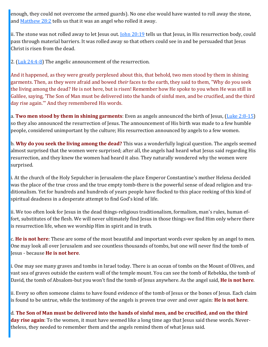enough, they could not overcome the armed guards). No one else would have wanted to roll away the stone, and [Matthew 28:2](https://www.blueletterbible.org/kjv/matthew/28/2/s_957002) tells us that it was an angel who rolled it away.

ii. The stone was not rolled away to let Jesus out. [John 20:19](https://www.blueletterbible.org/kjv/john/20/19/s_1017019) tells us that Jesus, in His resurrection body, could pass through material barriers. It was rolled away so that others could see in and be persuaded that Jesus Christ is risen from the dead.

2. ([Luk 24:4](https://www.blueletterbible.org/kjv/luke/24/4-8/s_997004)-8) The angelic announcement of the resurrection.

And it happened, as they were greatly perplexed about this, that behold, two men stood by them in shining garments. Then, as they were afraid and bowed *their* faces to the earth, they said to them, "Why do you seek the living among the dead? He is not here, but is risen! Remember how He spoke to you when He was still in Galilee, saying, 'The Son of Man must be delivered into the hands of sinful men, and be crucified, and the third day rise again.'" And they remembered His words.

a. **Two men stood by them in shining garments**: Even as angels announced the birth of Jesus, [\(Luke 2:8](https://www.blueletterbible.org/kjv/luke/2/8-15/s_975008)-15) so they also announced the resurrection of Jesus. The announcement of His birth was made to a few humble people, considered unimportant by the culture; His resurrection announced by angels to a few women.

b. **Why do you seek the living among the dead?** This was a wonderfully logical question. The angels seemed almost surprised that the women were surprised; after all, the angels had heard what Jesus said regarding His resurrection, and they knew the women had heard it also. They naturally wondered why the women were surprised.

i. At the church of the Holy Sepulcher in Jerusalem-the place Emperor Constantine's mother Helena decided was the place of the true cross and the true empty tomb-there is the powerful sense of dead religion and traditionalism. Yet for hundreds and hundreds of years people have flocked to this place reeking of this kind of spiritual deadness in a desperate attempt to find God's kind of life.

ii. We too often look for Jesus in the dead things-religious traditionalism, formalism, man's rules, human effort, substitutes of the flesh. We will never ultimately find Jesus in those things-we find Him only where there is resurrection life, when we worship Him in spirit and in truth.

c. **He is not here**: These are some of the most beautiful and important words ever spoken by an angel to men. One may look all over Jerusalem and see countless thousands of tombs, but one will never find the tomb of Jesus - because **He is not here**.

i. One may see many graves and tombs in Israel today. There is an ocean of tombs on the Mount of Olives, and vast sea of graves outside the eastern wall of the temple mount. You can see the tomb of Rebekka, the tomb of David, the tomb of Absalom-but you won't find the tomb of Jesus anywhere. As the angel said, **He is not here**.

ii. Every so often someone claims to have found evidence of the tomb of Jesus or the bones of Jesus. Each claim is found to be untrue, while the testimony of the angels is proven true over and over again: **He is not here**.

d. **The Son of Man must be delivered into the hands of sinful men, and be crucified, and on the third day rise again**: To the women, it must have seemed like a long time ago that Jesus said these words. Nevertheless, they needed to remember them and the angels remind them of what Jesus said.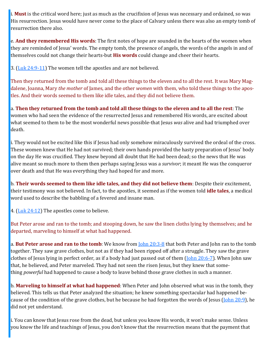i. **Must** is the critical word here; just as much as the crucifixion of Jesus was necessary and ordained, so was His resurrection. Jesus would have never come to the place of Calvary unless there was also an empty tomb of resurrection there also.

e. **And they remembered His words**: The first notes of hope are sounded in the hearts of the women when they are reminded of Jesus' words. The empty tomb, the presence of angels, the words of the angels in and of themselves could not change their hearts-but **His words** could change and cheer their hearts.

3. ([Luk 24:9](https://www.blueletterbible.org/kjv/luke/24/9-11/s_997009)-11) The women tell the apostles and are not believed.

Then they returned from the tomb and told all these things to the eleven and to all the rest. It was Mary Magdalene, Joanna, Mary *the mother* of James, and the other *women* with them, who told these things to the apostles. And their words seemed to them like idle tales, and they did not believe them.

a. **Then they returned from the tomb and told all these things to the eleven and to all the rest**: The women who had seen the evidence of the resurrected Jesus and remembered His words, are excited about what seemed to them to be the most wonderful news possible-that Jesus *was* alive and had triumphed over death.

i. They would not be excited like this if Jesus had only somehow miraculously survived the ordeal of the cross. These women knew that He had not survived; their own hands provided the hasty preparation of Jesus' body on the day He was crucified. They knew beyond all doubt that He had been dead; so the news that He was alive meant so much more to them then perhaps saying Jesus was a *survivor*; it meant He was the conqueror over death and that He was everything they had hoped for and more.

b. **Their words seemed to them like idle tales, and they did not believe them**: Despite their excitement, their testimony was not believed. In fact, to the apostles, it seemed as if the women told **idle tales**, a medical word used to describe the babbling of a fevered and insane man.

4. ( $Luk 24:12$ ) The apostles come to believe.

But Peter arose and ran to the tomb; and stooping down, he saw the linen cloths lying by themselves; and he departed, marveling to himself at what had happened.

a. **But Peter arose and ran to the tomb**: We know from [John 20:3](https://www.blueletterbible.org/kjv/john/20/3-8/s_1017003)-8 that both Peter and John ran to the tomb together. They saw grave clothes, but not as if they had been ripped off after a struggle. They saw the grave clothes of Jesus lying in perfect order, as if a body had just passed out of them ([John 20:6](https://www.blueletterbible.org/kjv/john/20/6-7/s_1017006)-7). When John saw that, he believed, and Peter marveled. They had not seen the risen Jesus, but they knew that something *powerful* had happened to cause a body to leave behind those grave clothes in such a manner.

b. **Marveling to himself at what had happened**: When Peter and John observed what was in the tomb, they believed. This tells us that Peter analyzed the situation; he knew something spectacular had happened be-cause of the condition of the grave clothes, but he because he had forgotten the words of Jesus ([John 20:9\),](https://www.blueletterbible.org/kjv/john/20/9/s_1017009) he did not yet understand.

i. You can know that Jesus rose from the dead, but unless you know His words, it won't make sense. Unless you know the life and teachings of Jesus, you don't know that the resurrection means that the payment that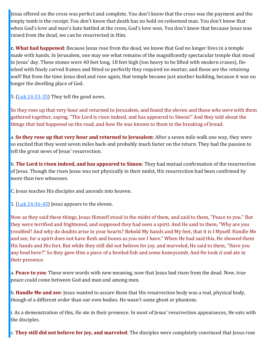Jesus offered on the cross was perfect and complete. You don't know that the cross was the payment and the empty tomb is the receipt. You don't know that death has no hold on redeemed man. You don't know that when God's love and man's hate battled at the cross, God's love won. You don't know that because Jesus was raised from the dead, we can be resurrected in Him.

**c. What had happened**: Because Jesus rose from the dead, we know that God no longer lives in a temple made with hands. In Jerusalem, one may see what remains of the magnificently spectacular temple that stood in Jesus' day. These stones were 40 feet long, 18 feet high (too heavy to be lifted with modern cranes), finished with finely carved frames and fitted so perfectly they required no mortar; and these are the *retaining wall!* But from the time Jesus died and rose again, that temple became just another building, because it was no longer the dwelling place of God.

5. ([Luk 24:33](https://www.blueletterbible.org/kjv/luke/24/33-35/s_997033)-35) They tell the good news.

So they rose up that very hour and returned to Jerusalem, and found the eleven and those *who were* with them gathered together, saying, "The Lord is risen indeed, and has appeared to Simon!" And they told about the things *that had happened* on the road, and how He was known to them in the breaking of bread.

a. **So they rose up that very hour and returned to Jerusalem**: After a seven mile walk one way, they were so excited that they went seven miles back-and probably much faster on the return. They had the passion to tell the great news of Jesus' resurrection.

b. **The Lord is risen indeed, and has appeared to Simon**: They had mutual confirmation of the resurrection of Jesus. Though the risen Jesus was not physically in their midst, His resurrection had been confirmed by more than two witnesses.

C. Jesus teaches His disciples and ascends into heaven.

1.  $(\text{Luk } 24:36 - 43)$  Jesus appears to the eleven.

Now as they said these things, Jesus Himself stood in the midst of them, and said to them, "Peace to you." But they were terrified and frightened, and supposed they had seen a spirit. And He said to them, "Why are you troubled? And why do doubts arise in your hearts? Behold My hands and My feet, that it is I Myself. Handle Me and see, for a spirit does not have flesh and bones as you see I have." When He had said this, He showed them His hands and His feet. But while they still did not believe for joy, and marveled, He said to them, "Have you any food here?" So they gave Him a piece of a broiled fish and some honeycomb. And He took *it* and ate in their presence.

a. **Peace to you**: These were words with new meaning, now that Jesus had risen from the dead. Now, true peace could come between God and man and among men.

b. **Handle Me and see**: Jesus wanted to assure them that His resurrection body was a real, physical body, though of a different order than our own bodies. He wasn't some ghost or phantom.

i. As a demonstration of this, He ate in their presence. In most of Jesus' resurrection appearances, He eats with the disciples.

c. **They still did not believe for joy, and marveled**: The disciples were completely convinced that Jesus rose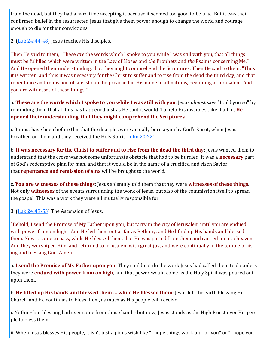from the dead, but they had a hard time accepting it because it seemed too good to be true. But it was their confirmed belief in the resurrected Jesus that give them power enough to change the world and courage enough to die for their convictions.

2. ([Luk 24:44](https://www.blueletterbible.org/kjv/luke/24/44-48/s_997044)-48) Jesus teaches His disciples.

Then He said to them, "These *are* the words which I spoke to you while I was still with you, that all things must be fulfilled which were written in the Law of Moses and *the* Prophets and *the* Psalms concerning Me." And He opened their understanding, that they might comprehend the Scriptures. Then He said to them, "Thus it is written, and thus it was necessary for the Christ to suffer and to rise from the dead the third day, and that repentance and remission of sins should be preached in His name to all nations, beginning at Jerusalem. And you are witnesses of these things."

a. **These are the words which I spoke to you while I was still with you**: Jesus *almost* says "I told you so" by reminding them that all this has happened just as He said it would. To help His disciples take it all in, **He opened their understanding, that they might comprehend the Scriptures**.

i. It must have been before this that the disciples were actually born again by God's Spirit, when Jesus breathed on them and they received the Holy Spirit (*John 20:22*).

b. **It was necessary for the Christ to suffer and to rise from the dead the third day**: Jesus wanted them to understand that the cross was not some unfortunate obstacle that had to be hurdled. It was a **necessary** part of God's redemptive plan for man, and that it would be in the name of a crucified and risen Savior that **repentance and remission of sins** will be brought to the world.

c. **You are witnesses of these things**: Jesus solemnly told them that they were **witnesses of these things**. Not only **witnesses** of the events surrounding the work of Jesus, but also of the commission itself to spread the gospel. This was a work they were all mutually responsible for.

3. ([Luk 24:49](https://www.blueletterbible.org/kjv/luke/24/49-53/s_997049)-53) The Ascension of Jesus.

"Behold, I send the Promise of My Father upon you; but tarry in the city of Jerusalem until you are endued with power from on high." And He led them out as far as Bethany, and He lifted up His hands and blessed them. Now it came to pass, while He blessed them, that He was parted from them and carried up into heaven. And they worshiped Him, and returned to Jerusalem with great joy, and were continually in the temple praising and blessing God. Amen.

a. **I send the Promise of My Father upon you**: They could not do the work Jesus had called them to do unless they were **endued with power from on high**, and that power would come as the Holy Spirit was poured out upon them.

b. **He lifted up His hands and blessed them … while He blessed them**: Jesus left the earth blessing His Church, and He continues to bless them, as much as His people will receive.

i. Nothing but blessing had ever come from those hands; but now, Jesus stands as the High Priest over His people to bless them.

ii. When Jesus blesses His people, it isn't just a pious wish like "I hope things work out for you" or "I hope you